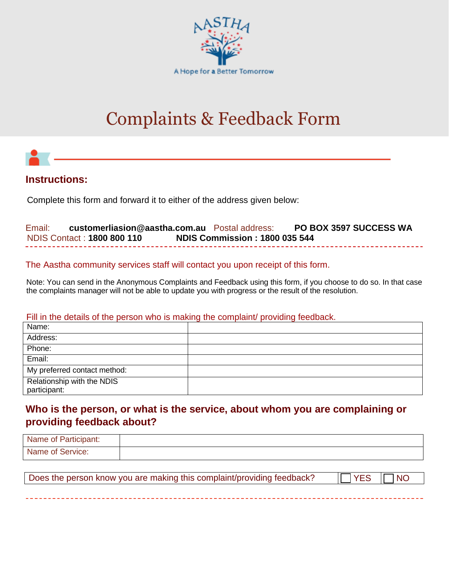

# Complaints & Feedback Form



#### **Instructions:**

Complete this form and forward it to either of the address given below:

Email: **customerliasion@aastha.com.au** Postal address: **PO BOX 3597 SUCCESS WA** NDIS Contact : **1800 800 110 NDIS Commission : 1800 035 544**

The Aastha community services staff will contact you upon receipt of this form.

Note: You can send in the Anonymous Complaints and Feedback using this form, if you choose to do so. In that case the complaints manager will not be able to update you with progress or the result of the resolution.

Fill in the details of the person who is making the complaint/ providing feedback.

| Name:                        |  |
|------------------------------|--|
| Address:                     |  |
| Phone:                       |  |
| Email:                       |  |
| My preferred contact method: |  |
| Relationship with the NDIS   |  |
| participant:                 |  |

### **Who is the person, or what is the service, about whom you are complaining or providing feedback about?**

| Name of Participant: |  |
|----------------------|--|
| Name of Service:     |  |

Does the person know you are making this complaint/providing feedback?  $\Box$  YES  $\Box$  NO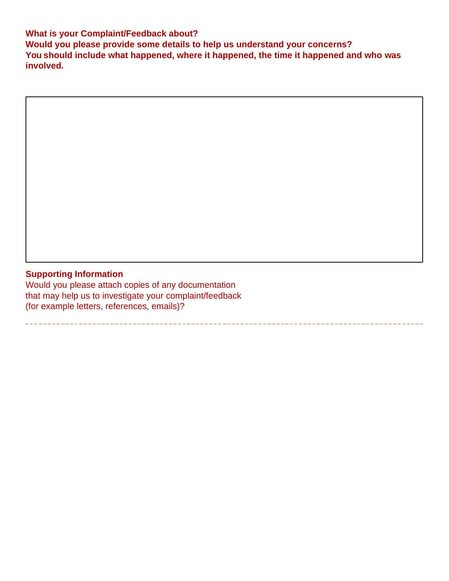**What is your Complaint/Feedback about? Would you please provide some details to help us understand your concerns? You should include what happened, where it happened, the time it happened and who was involved.**

#### **Supporting Information**

Would you please attach copies of any documentation that may help us to investigate your complaint/feedback (for example letters, references, emails)?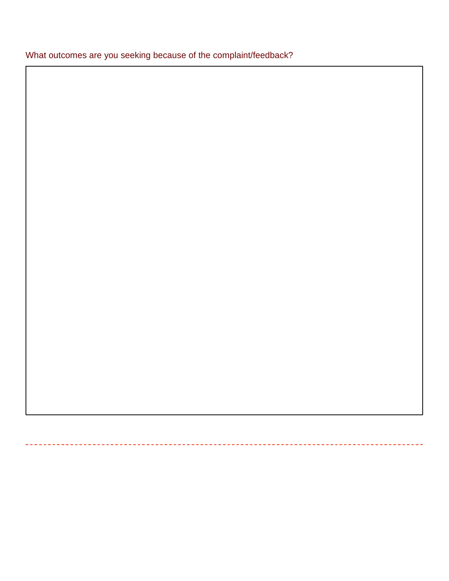What outcomes are you seeking because of the complaint/feedback?